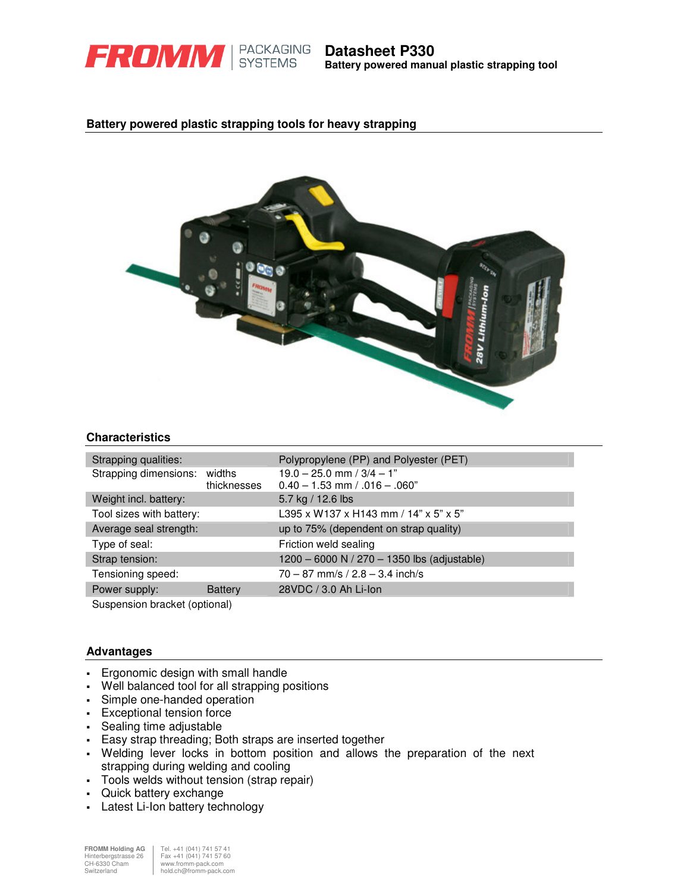

**Battery powered manual plastic strapping tool**

# **Battery powered plastic strapping tools for heavy strapping**



### **Characteristics**

| Strapping qualities:                                                                     |                | Polypropylene (PP) and Polyester (PET)                               |
|------------------------------------------------------------------------------------------|----------------|----------------------------------------------------------------------|
| Strapping dimensions: widths                                                             | thicknesses    | $19.0 - 25.0$ mm / $3/4 - 1$ "<br>$0.40 - 1.53$ mm $/ .016 - .060$ " |
| Weight incl. battery:                                                                    |                | 5.7 kg / 12.6 lbs                                                    |
| Tool sizes with battery:                                                                 |                | L395 x W137 x H143 mm / 14" x 5" x 5"                                |
| Average seal strength:                                                                   |                | up to 75% (dependent on strap quality)                               |
| Type of seal:                                                                            |                | Friction weld sealing                                                |
| Strap tension:                                                                           |                | 1200 - 6000 N / 270 - 1350 lbs (adjustable)                          |
| Tensioning speed:                                                                        |                | $70 - 87$ mm/s / $2.8 - 3.4$ inch/s                                  |
| Power supply:                                                                            | <b>Battery</b> | 28VDC / 3.0 Ah Li-Ion                                                |
| $\Omega$ and $\Omega$ is a set of $\Omega$ is the set of $\Omega$ is the set of $\Omega$ |                |                                                                      |

Suspension bracket (optional)

## **Advantages**

- Ergonomic design with small handle
- Well balanced tool for all strapping positions
- Simple one-handed operation
- **Exceptional tension force**
- Sealing time adjustable
- Easy strap threading; Both straps are inserted together
- Welding lever locks in bottom position and allows the preparation of the next strapping during welding and cooling
- Tools welds without tension (strap repair)
- Quick battery exchange
- Latest Li-Ion battery technology

**FROMM Holding AG** Tel. +41 (041) 741 57 41 Hinterbergstrasse 26 Fax +41 (041) 741 57 60 FROMM Holding AG Tel. +41 (041) 741 574<br>
Ch+6330 Cham Fax +41 (041) 741 576<br>
Ch+6330 Cham www.fromm-pack.com<br>
www.fromm-pack.com<br>
www.fromm-pack.com hold.ch@fromm-pack.com